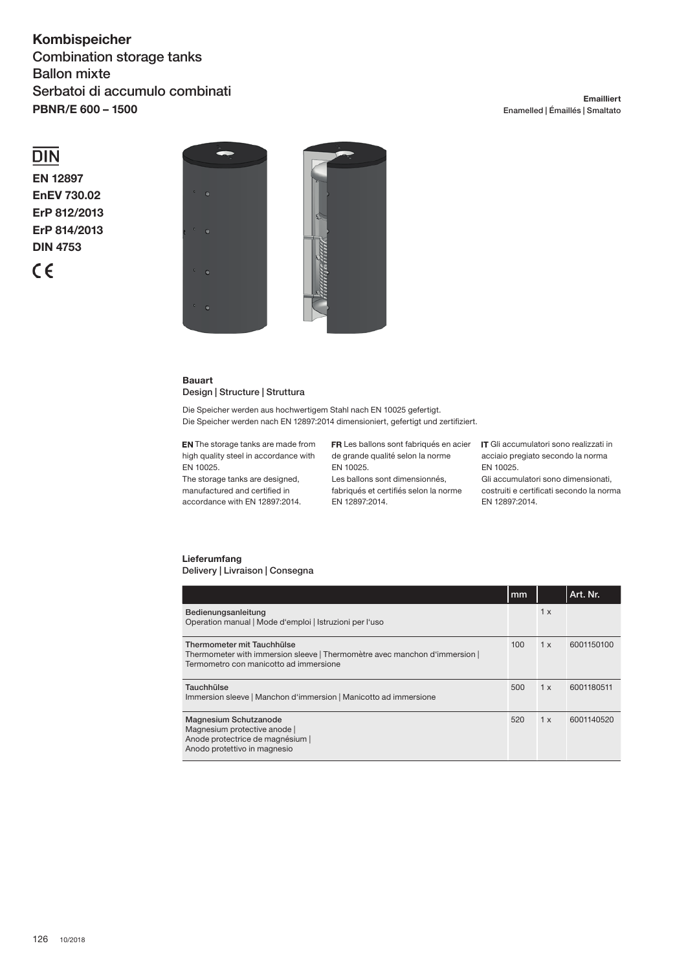## **Kombispeicher** Combination storage tanks Ballon mixte Serbatoi di accumulo combinati **PBNR/E 600 – 1500**

## **Emailliert** Enamelled | Émaillés | Smaltato

# $\overline{DIN}$

**EN 12897 EnEV 730.02 ErP 812/2013 ErP 814/2013 DIN 4753**





## **Bauart** Design | Structure | Struttura

Die Speicher werden aus hochwertigem Stahl nach EN 10025 gefertigt. Die Speicher werden nach EN 12897:2014 dimensioniert, gefertigt und zertifiziert.

**EN** The storage tanks are made from high quality steel in accordance with EN 10025.

The storage tanks are designed, manufactured and certified in accordance with EN 12897:2014. de grande qualité selon la norme EN 10025.

Les ballons sont dimensionnés, fabriqués et certifiés selon la norme EN 12897:2014.

Les ballons sont fabriqués en acier **IT** Gli accumulatori sono realizzati in acciaio pregiato secondo la norma EN 10025.

> Gli accumulatori sono dimensionati, costruiti e certificati secondo la norma EN 12897:2014.

## **Lieferumfang** Delivery | Livraison | Consegna

|                                                                                                                                                    | mm  |     | Art. Nr.   |
|----------------------------------------------------------------------------------------------------------------------------------------------------|-----|-----|------------|
| Bedienungsanleitung<br>Operation manual   Mode d'emploi   Istruzioni per l'uso                                                                     |     | 1x  |            |
| Thermometer mit Tauchhülse<br>Thermometer with immersion sleeve   Thermomètre avec manchon d'immersion  <br>Termometro con manicotto ad immersione | 100 | 1 x | 6001150100 |
| Tauchhülse<br>Immersion sleeve   Manchon d'immersion   Manicotto ad immersione                                                                     | 500 | 1x  | 6001180511 |
| Magnesium Schutzanode<br>Magnesium protective anode<br>Anode protectrice de magnésium  <br>Anodo protettivo in magnesio                            | 520 | 1 x | 6001140520 |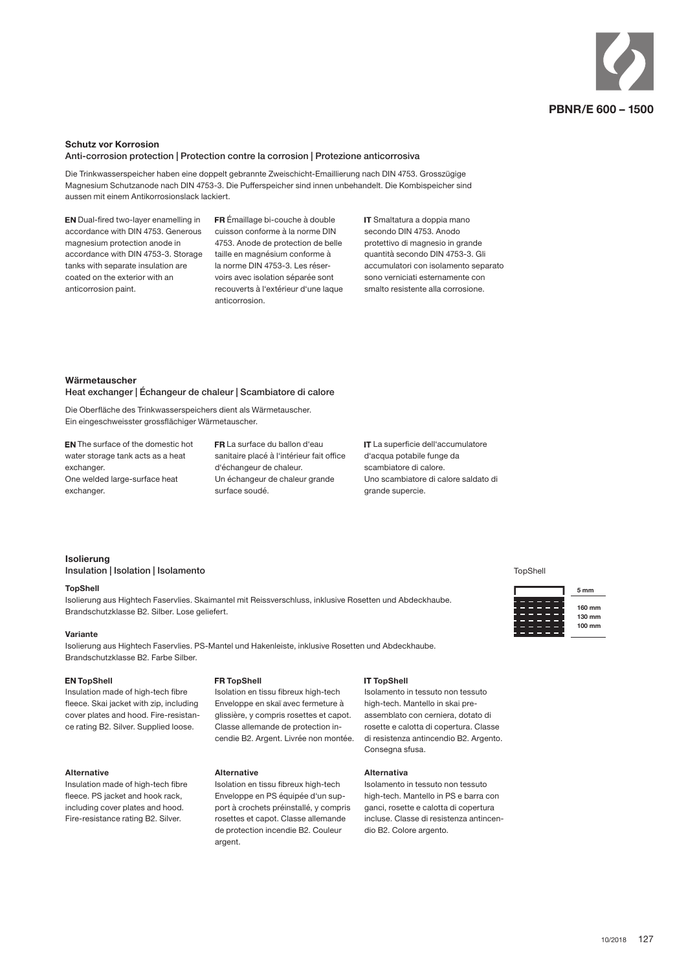

#### **Schutz vor Korrosion**

Anti-corrosion protection | Protection contre la corrosion | Protezione anticorrosiva

Die Trinkwasserspeicher haben eine doppelt gebrannte Zweischicht-Emaillierung nach DIN 4753. Grosszügige Magnesium Schutzanode nach DIN 4753-3. Die Pufferspeicher sind innen unbehandelt. Die Kombispeicher sind aussen mit einem Antikorrosionslack lackiert.

EN Dual-fired two-layer enamelling in accordance with DIN 4753. Generous magnesium protection anode in accordance with DIN 4753-3. Storage tanks with separate insulation are coated on the exterior with an anticorrosion paint.

FR Émaillage bi-couche à double cuisson conforme à la norme DIN 4753. Anode de protection de belle taille en magnésium conforme à la norme DIN 4753-3. Les réservoirs avec isolation séparée sont recouverts à l'extérieur d'une laque anticorrosion.

IT Smaltatura a doppia mano secondo DIN 4753. Anodo protettivo di magnesio in grande quantità secondo DIN 4753-3. Gli accumulatori con isolamento separato sono verniciati esternamente con smalto resistente alla corrosione.

#### **Wärmetauscher**

Heat exchanger | Échangeur de chaleur | Scambiatore di calore

Die Oberfläche des Trinkwasserspeichers dient als Wärmetauscher. Ein eingeschweisster grossflächiger Wärmetauscher.

 The surface of the domestic hot water storage tank acts as a heat exchanger. One welded large-surface heat exchanger.

 La surface du ballon d'eau sanitaire placé à l'intérieur fait office d'échangeur de chaleur. Un échangeur de chaleur grande surface soudé.

IT La superficie dell'accumulatore d'acqua potabile funge da scambiatore di calore. Uno scambiatore di calore saldato di grande supercie.

## **Isolierung**

Insulation | Isolation | Isolamento

#### **TopShell**

Isolierung aus Hightech Faservlies. Skaimantel mit Reissverschluss, inklusive Rosetten und Abdeckhaube. Brandschutzklasse B2. Silber. Lose geliefert.

#### **Variante**

Isolierung aus Hightech Faservlies. PS-Mantel und Hakenleiste, inklusive Rosetten und Abdeckhaube. Brandschutzklasse B2. Farbe Silber.

**FR TopShell** 

**Alternative**

argent.

#### **EN TopShell**

Insulation made of high-tech fibre fleece. Skai jacket with zip, including cover plates and hood. Fire-resistance rating B2. Silver. Supplied loose.

#### **Alternative**

Insulation made of high-tech fibre fleece. PS jacket and hook rack, including cover plates and hood. Fire-resistance rating B2. Silver.

# Isolation en tissu fibreux high-tech

Enveloppe en skaï avec fermeture à glissière, y compris rosettes et capot. Classe allemande de protection incendie B2. Argent. Livrée non montée.

Isolation en tissu fibreux high-tech Enveloppe en PS équipée d'un support à crochets préinstallé, y compris rosettes et capot. Classe allemande de protection incendie B2. Couleur

**IT TopShell** Isolamento in tessuto non tessuto

high-tech. Mantello in skai preassemblato con cerniera, dotato di rosette e calotta di copertura. Classe di resistenza antincendio B2. Argento. Consegna sfusa.

### **Alternativa**

Isolamento in tessuto non tessuto high-tech. Mantello in PS e barra con ganci, rosette e calotta di copertura incluse. Classe di resistenza antincendio B2. Colore argento.

#### TopShell



**160 mm 130 mm 100 mm**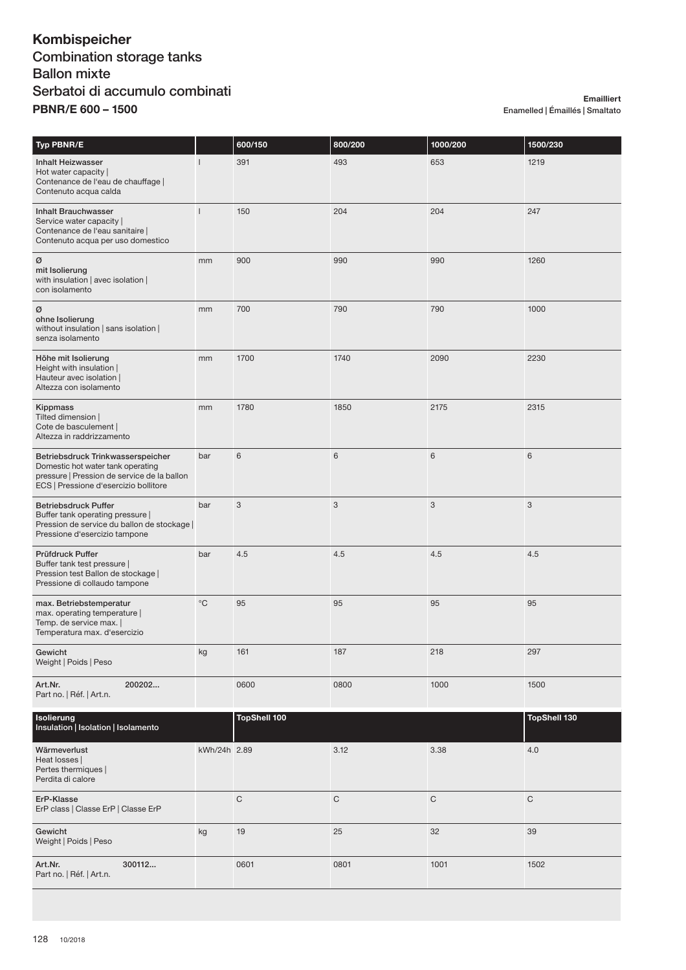# **Kombispeicher** Combination storage tanks Ballon mixte Serbatoi di accumulo combinati **PBNR/E 600 – 1500**

**Emailliert** Enamelled | Émaillés | Smaltato

| Typ PBNR/E                                                                                                                                                     |                | 600/150             | 800/200                   | 1000/200    | 1500/230            |
|----------------------------------------------------------------------------------------------------------------------------------------------------------------|----------------|---------------------|---------------------------|-------------|---------------------|
| <b>Inhalt Heizwasser</b><br>Hot water capacity  <br>Contenance de l'eau de chauffage  <br>Contenuto acqua calda                                                | $\mathbf{I}$   | 391                 | 493                       | 653         | 1219                |
| <b>Inhalt Brauchwasser</b><br>Service water capacity  <br>Contenance de l'eau sanitaire  <br>Contenuto acqua per uso domestico                                 | $\overline{1}$ | 150                 | 204                       | 204         | 247                 |
| Ø<br>mit Isolierung<br>with insulation   avec isolation  <br>con isolamento                                                                                    | mm             | 900                 | 990                       | 990         | 1260                |
| Ø<br>ohne Isolierung<br>without insulation   sans isolation  <br>senza isolamento                                                                              | mm             | 700                 | 790                       | 790         | 1000                |
| Höhe mit Isolierung<br>Height with insulation  <br>Hauteur avec isolation  <br>Altezza con isolamento                                                          | mm             | 1700                | 1740                      | 2090        | 2230                |
| Kippmass<br>Tilted dimension  <br>Cote de basculement  <br>Altezza in raddrizzamento                                                                           | mm             | 1780                | 1850                      | 2175        | 2315                |
| Betriebsdruck Trinkwasserspeicher<br>Domestic hot water tank operating<br>pressure   Pression de service de la ballon<br>ECS   Pressione d'esercizio bollitore | bar            | 6                   | 6                         | 6           | 6                   |
| <b>Betriebsdruck Puffer</b><br>Buffer tank operating pressure  <br>Pression de service du ballon de stockage  <br>Pressione d'esercizio tampone                | bar            | 3                   | $\ensuremath{\mathsf{3}}$ | 3           | 3                   |
| Prüfdruck Puffer<br>Buffer tank test pressure  <br>Pression test Ballon de stockage  <br>Pressione di collaudo tampone                                         | bar            | 4.5                 | 4.5                       | 4.5         | 4.5                 |
| max. Betriebstemperatur<br>max. operating temperature  <br>Temp. de service max.  <br>Temperatura max. d'esercizio                                             | $^{\circ}$ C   | 95                  | 95                        | 95          | 95                  |
| Gewicht<br>Weight   Poids   Peso                                                                                                                               | kg             | 161                 | 187                       | 218         | 297                 |
| 200202<br>Art.Nr.<br>Part no.   Réf.   Art.n.                                                                                                                  |                | 0600                | 0800                      | 1000        | 1500                |
| Isolierung<br>Insulation   Isolation   Isolamento                                                                                                              |                | <b>TopShell 100</b> |                           |             | <b>TopShell 130</b> |
| Wärmeverlust<br>Heat losses  <br>Pertes thermiques  <br>Perdita di calore                                                                                      | kWh/24h 2.89   |                     | 3.12                      | 3.38        | 4.0                 |
| ErP-Klasse<br>ErP class   Classe ErP   Classe ErP                                                                                                              |                | $\mathsf C$         | C                         | $\mathbf C$ | $\mathsf C$         |
| Gewicht<br>Weight   Poids   Peso                                                                                                                               | kg             | 19                  | 25                        | 32          | 39                  |
| 300112<br>Art.Nr.<br>Part no.   Réf.   Art.n.                                                                                                                  |                | 0601                | 0801                      | 1001        | 1502                |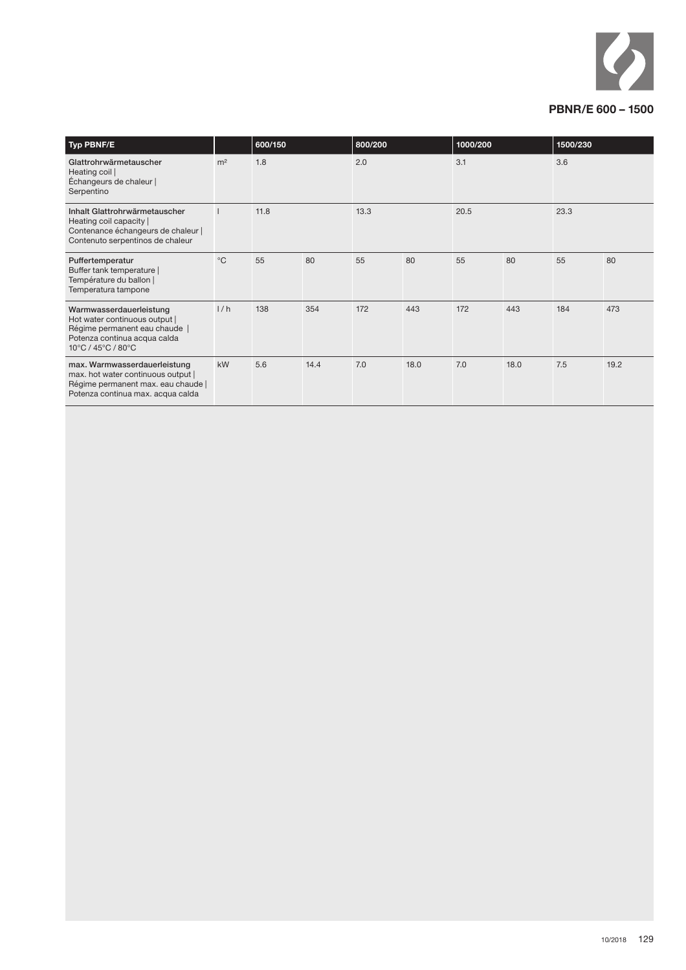

| <b>Typ PBNF/E</b>                                                                                                                               |                | 600/150<br>800/200 |      | 1000/200 |      | 1500/230 |      |      |      |
|-------------------------------------------------------------------------------------------------------------------------------------------------|----------------|--------------------|------|----------|------|----------|------|------|------|
| Glattrohrwärmetauscher<br>Heating coil<br>Échangeurs de chaleur  <br>Serpentino                                                                 | m <sup>2</sup> | 1.8                |      | 2.0      |      | 3.1      |      | 3.6  |      |
| Inhalt Glattrohrwärmetauscher<br>Heating coil capacity  <br>Contenance échangeurs de chaleur  <br>Contenuto serpentinos de chaleur              |                | 11.8               |      | 13.3     |      | 20.5     |      | 23.3 |      |
| Puffertemperatur<br>Buffer tank temperature  <br>Température du ballon  <br>Temperatura tampone                                                 | $^{\circ}C$    | 55                 | 80   | 55       | 80   | 55       | 80   | 55   | 80   |
| Warmwasserdauerleistung<br>Hot water continuous output  <br>Régime permanent eau chaude  <br>Potenza continua acqua calda<br>10°C / 45°C / 80°C | 1/h            | 138                | 354  | 172      | 443  | 172      | 443  | 184  | 473  |
| max. Warmwasserdauerleistung<br>max. hot water continuous output  <br>Régime permanent max. eau chaude  <br>Potenza continua max. acqua calda   | kW             | 5.6                | 14.4 | 7.0      | 18.0 | 7.0      | 18.0 | 7.5  | 19.2 |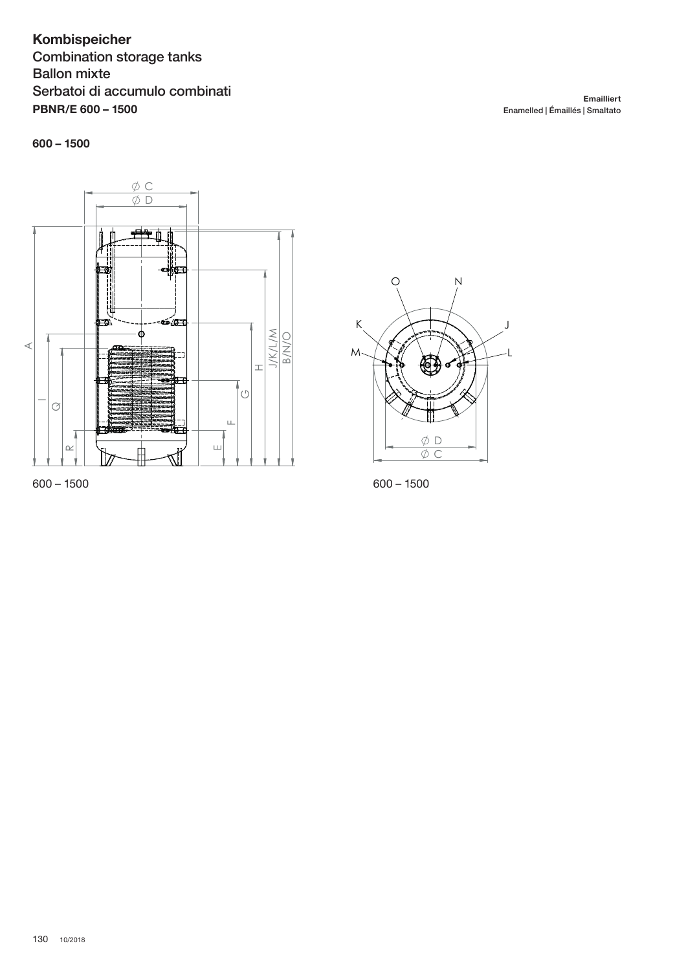# Kombispeicher **Combination storage tanks Ballon mixte** Serbatoi di accumulo combinati **PBNR/E 600 - 1500**

 $600 - 1500$ 



 $600 - 1500$ 



 $600 - 1500$ 

Emailliert Enamelled | Émaillés | Smaltato